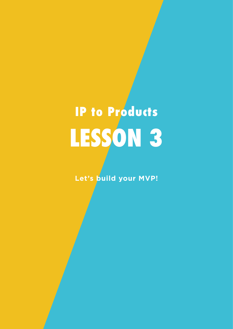## **LESSON 3 IP to Products**

**Let's build your MVP!**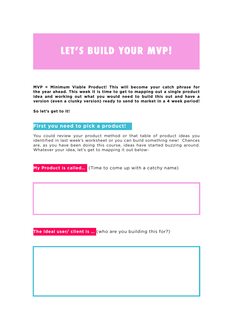## **LET'S BUILD YOUR MVP!**

**MVP = Minimum Viable Product! This will become your catch phrase for the year ahead. This week it is time to get to mapping out a single product idea and working out what you would need to build this out and have a version (even a clunky version) ready to send to market in a 4 week period!**

**So let's get to it!**

## **First you need to pick a product!**

You could review your product method or that table of product ideas you identified in last week's worksheet or you can build something new! Chances are, as you have been doing this course, ideas have started buzzing around. Whatever your idea, let's get to mapping it out below-

**My Product is called…** (Time to come up with a catchy name)

**The ideal user/ client is …** (who are you building this for?)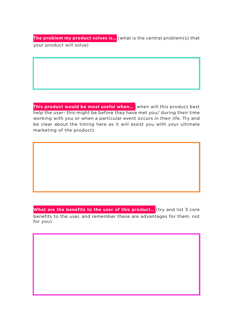**The problem my product solves is…** (what is the central problem(s) that your product will solve)

**This product would be most useful when…** (when will this product best help the user- this might be before they have met you/ during their time working with you or when a particular event occurs in their life. Try and be clear about the timing here as it will assist you with your ultimate marketing of the product)

What are the benefits to the user of this product... (try and list 3 core benefits to the user, and remember these are advantages for them, not for you)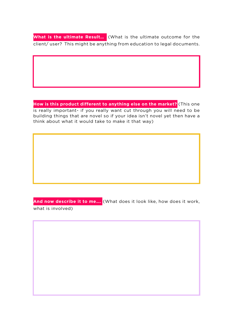**What is the ultimate Result…** (What is the ultimate outcome for the client/ user? This might be anything from education to legal documents.

**How is this product different to anything else on the market?** (This one is really important- if you really want cut through you will need to be building things that are novel so if your idea isn't novel yet then have a think about what it would take to make it that way)

**And now describe it to me….** (What does it look like, how does it work, what is involved)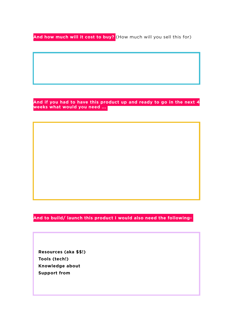**And how much will it cost to buy?** (How much will you sell this for)

**And if you had to have this product up and ready to go in the next 4 weeks what would you need ...**

**And to build/ launch this product I would also need the following-**

 **Resources (aka \$\$!) Tools (tech!) Knowledge about Support from**